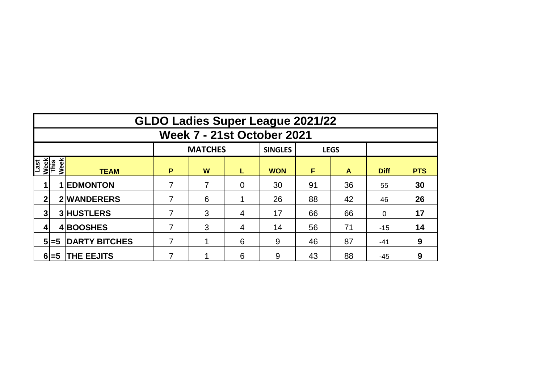|                             | <b>GLDO Ladies Super League 2021/22</b> |                      |   |                |   |                |    |             |             |            |  |  |  |  |
|-----------------------------|-----------------------------------------|----------------------|---|----------------|---|----------------|----|-------------|-------------|------------|--|--|--|--|
|                             | <b>Week 7 - 21st October 2021</b>       |                      |   |                |   |                |    |             |             |            |  |  |  |  |
|                             |                                         |                      |   | <b>MATCHES</b> |   | <b>SINGLES</b> |    | <b>LEGS</b> |             |            |  |  |  |  |
| Last<br><u>Week</u><br>This | Week                                    | <b>TEAM</b>          | P | W              | L | <b>WON</b>     | F  | A           | <b>Diff</b> | <b>PTS</b> |  |  |  |  |
|                             |                                         | <b>1 EDMONTON</b>    | 7 | 7              | 0 | 30             | 91 | 36          | 55          | 30         |  |  |  |  |
| 2                           |                                         | 2 WANDERERS          |   | 6              |   | 26             | 88 | 42          | 46          | 26         |  |  |  |  |
| 3                           |                                         | <b>3 HUSTLERS</b>    | 7 | 3              | 4 | 17             | 66 | 66          | $\mathbf 0$ | 17         |  |  |  |  |
|                             |                                         | 4BOOSHES             | 7 | 3              | 4 | 14             | 56 | 71          | $-15$       | 14         |  |  |  |  |
|                             | $5 = 5$                                 | <b>DARTY BITCHES</b> | 7 |                | 6 | 9              | 46 | 87          | $-41$       | 9          |  |  |  |  |
|                             | $6 = 5$                                 | <b>THE EEJITS</b>    |   |                | 6 | 9              | 43 | 88          | $-45$       | 9          |  |  |  |  |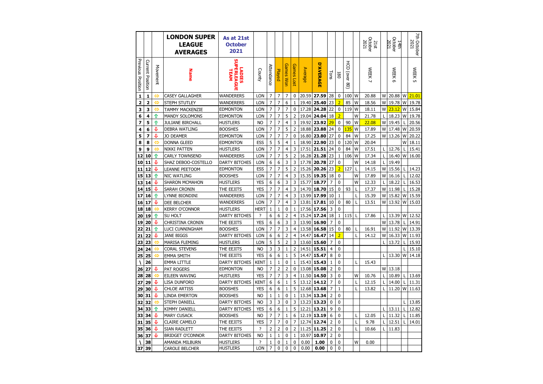|                         |                  |          | <b>LONDON SUPER</b><br><b>LEAGUE</b><br><b>AVERAGES</b> | As at 21st<br><b>October</b><br>2021    |                              |                     |                     |                     |                   |                |                  |                     |                |                                          |              | October<br>2021<br>21st |        | October<br>2021<br>14th |   | <b>7th October</b><br>2021 |
|-------------------------|------------------|----------|---------------------------------------------------------|-----------------------------------------|------------------------------|---------------------|---------------------|---------------------|-------------------|----------------|------------------|---------------------|----------------|------------------------------------------|--------------|-------------------------|--------|-------------------------|---|----------------------------|
| Previous Position       | Current Position | Movement | <b>Name</b>                                             | <b>SUPERLEAG</b><br><b>LADIES</b><br>교계 | County                       | Attendance          | Played              | <b>Games Won</b>    | Games Lost        | <b>Average</b> | <b>D'AVERAGE</b> | Tons                | 180            | $\overline{5}$<br>(over<br>$\frac{8}{2}$ |              | <b>WEEK</b>             |        | <b>WEEK</b><br>ക        |   | WEEK <sub>5</sub>          |
| $\mathbf 1$             | $\mathbf{1}$     |          | <b>CASEY GALLAGHER</b>                                  | WANDERERS                               | LON                          | 7                   | 7                   | $\overline{7}$      | $\pmb{0}$         | 20.59          | 27.59            | 28                  | 0              | 100                                      | W            | 20.88                   | W      | 20.88                   | W | 21.01                      |
| $\overline{\mathbf{2}}$ | $\overline{2}$   | ⇔        | STEPH STUTLEY                                           | WANDERERS                               | LON                          | 7                   | 7                   | 6                   | $\mathbf{1}$      | 19.40          | 25.40            | 23                  | $\overline{2}$ | 85                                       | W            | 18.56                   | W      | 19.78                   | W | 19.78                      |
| 3                       | 3                | ⇔        | <b>TAMMY MACKENZIE</b>                                  | <b>EDMONTON</b>                         | LON                          | 7                   | 7                   | $\overline{7}$      | 0                 | 17.28          | 24.28            | 22                  | 0              | 119                                      | W            | 18.11                   | W      | 23.12                   | W | 15.84                      |
| 6                       | 4                | ⇧        | <b>MANDY SOLOMONS</b>                                   | edmonton                                | LON                          | $\overline{7}$      | 7                   | 5                   | $\overline{2}$    | 19.04          | 24.04            | 18                  | $\overline{2}$ |                                          | W            | 21.78                   | L      | 18.23                   | W | 19.78                      |
| 7                       | 5                | ⇧        | JULIANE BIRCHALL                                        | HUSTLERS                                | N <sub>O</sub>               | 7                   | $\overline{7}$      | 4                   | 3                 | 19.92          | 23.92            | 29                  | 0              | 90                                       | W            | 22.08                   | W      | 19.45                   |   | 20.56                      |
| 4                       | 6                | J        | <b>DEBRA WATLING</b>                                    | <b>BOOSHES</b>                          | LON                          | 7                   | $\overline{7}$      | 5                   | $\overline{2}$    | 18.88          | 23.88            | 24                  | 0              | 135                                      | W            | 17.89                   | W      | 17.48                   | W | 20.59                      |
| 5                       | 7                | ū        | <b>JO DEAMER</b>                                        | <b>EDMONTON</b>                         | LON                          | 7<br>5              | 7<br>5              | 7                   | 0<br>$\mathbf{1}$ | 16.80<br>18.90 | 23.80<br>22.90   | 27<br>23            | 0              | 84<br>120                                | W<br>W       | 17.25                   | W      | 13.26                   | W | 20.22                      |
| 8<br>9                  | 8<br>9           | ⇔<br>⇔   | DONNA GLEED<br>NIKKI PATTEN                             | <b>EDMONTON</b><br>HUSTLERS             | ESS<br>LON                   | 7                   | 7                   | 4<br>4              | 3                 | 17.51          | 21.51            | 24                  | 0<br>0         | 84                                       | W            | 20.04<br>17.51          | L      | 12.76                   | W | 18.11<br>15.41             |
| 12                      | 10               | ⇧        | <b>CARLY TOWNSEND</b>                                   | WANDERERS                               | LON                          | 7                   | 7                   | 5                   | $\overline{2}$    | 16.28          | 21.28            | 23                  | $\mathbf 1$    | 106                                      | W            | 17.34                   | L      | 16.40                   | W | 16.00                      |
| 10                      | 11               | л        | SHAZ DEBOO-COSTELLO                                     | <b>DARTY BITCHES</b>                    | <b>LON</b>                   | 6                   | 6                   | 3                   | 3                 | 17.78          | 20.78            | 27                  | $\mathbf 0$    |                                          | W            | 14.18                   | L      | 19.49                   |   |                            |
| 11                      | 12               | J        | LEANNE PEETOOM                                          | EDMONTON                                | ESS                          | 7                   | $\overline{7}$      | 5                   | $\overline{2}$    | 15.26          | 20.26            | 23                  | $\overline{2}$ | 127                                      | L            | 14.15                   | W      | 15.56                   |   | 14.23                      |
| 15                      | 13               | ⇧        | NIC WATLING                                             | <b>BOOSHES</b>                          | LON                          | 7                   | $\overline{7}$      | $\overline{4}$      | 3                 | 15.35          | 19.35            | 18                  | $\mathbf 0$    |                                          | W            | 17.89                   | W      | 16.16                   |   | 12.02                      |
| 13                      | 14               | J        | SHARON MCMAHON                                          | Hustlers                                | <b>YES</b>                   | 6                   | 6                   | 3                   | 3                 | 15.77          | 18.77            | $\overline{7}$      | 0              |                                          | W            | 12.33                   | L      | 18.22                   |   | 16.53                      |
| 14                      | 15               | ⇩        | SARAH CRONIN                                            | THE EEJITS                              | <b>YES</b>                   | 7                   | 7                   | $\overline{4}$      | 3                 |                | 14.70 18.70      | 15                  | 0              | 93                                       | L            | 17.37                   | W      | 11.98                   | L | 15.28                      |
| 17                      | 16               | ⇧        | LYNNE BIONDINI                                          | WANDERERS                               | LON                          | 7                   | 7                   | 4                   | 3                 | 13.99          | 17.99            | 10                  | $\mathbf{1}$   |                                          | L            | 15.39                   | W      | 15.82                   | W | 15.59                      |
| 16                      | 17               | J        | DEE BELCHER                                             | WANDERERS                               | <b>LON</b>                   | $\overline{7}$      | $\overline{7}$      | 4                   | 3                 | 13.81          | 17.81            | 10                  | 0              | 80                                       | L            | 13.51                   | W      | 13.92                   | W | 15.03                      |
| 18                      | 18               |          | <b>KERRY O'CONNOR</b>                                   | HUSTLERS                                | <b>HERT</b>                  | 1                   | 1                   | 0                   | $\mathbf{1}$      | 17.56          | 17.56            | 3                   | 0              |                                          |              |                         |        |                         |   |                            |
| 20                      | 19               | ⇧        | <b>SU HOLT</b>                                          | <b>DARTY BITCHES</b>                    | ?                            | 6                   | 6                   | $\overline{2}$      | 4                 | 15.24          | 17.24            | 18                  | $\mathbf{1}$   | 115                                      | L            | 17.86                   | L      | 13.39                   | W | 12.52                      |
| 19                      | 20               | ⇩        | CHRISTINA CRONIN                                        | THE EEJITS                              | <b>YES</b>                   | 6                   | 6                   | 3                   | 3                 | 13.90          | 16.90            | $\overline{7}$      | 0              |                                          |              |                         | W      | 13.78                   |   | 14.91                      |
| 22                      | 21               | ⇧        | LUCI CUNNINGHAM                                         | <b>BOOSHES</b>                          | LON                          | 7                   | 7                   | 3                   | $\overline{4}$    | 13.58          | 16.58            | 15                  | 0              | 80                                       | L            | 16.91                   | W      | 11.92                   | W | 13.39                      |
| 21                      | 22               | J        | <b>JANE BIGGS</b>                                       | <b>DARTY BITCHES</b>                    | LON                          | 6                   | 6                   | $\overline{2}$      | 4                 | 14.47          | 16.47            | 14                  | $\overline{2}$ |                                          | L            | 14.12                   | W      | 16.33                   | W | 11.93                      |
| 23                      | 23               | ⇔        | MARISA FLEMING                                          | <b>HUSTLERS</b>                         | LON                          | 5                   | 5                   | $\overline{2}$      | 3                 | 13.60          | 15.60            | $\overline{7}$      | $\mathbf 0$    |                                          |              |                         | L      | 13.72                   |   | 15.93                      |
| 24                      | 24               | ⇔        | <b>CORAL STEVENS</b>                                    | THE EEJITS                              | <b>NO</b>                    | 3                   | 3                   | $\mathbf 1$         | $\overline{2}$    | 14.51          | 15.51            | $\overline{4}$      | 0              |                                          |              |                         |        |                         |   | 15.10                      |
| 25                      | 25               | ⇔        | <b>EMMA SMITH</b>                                       | THE EEJITS                              | <b>YES</b>                   | 6                   | 6                   | $\mathbf{1}$        | 5                 | 14.47          | 15.47            | 8                   | 0              |                                          |              |                         | L      | 13.30                   | W | 14.18                      |
|                         | 26<br>27         | o        | EMMA LITTLE                                             | <b>DARTY BITCHES</b>                    | <b>KENT</b>                  | $\mathbf{1}$        | $\mathbf 1$         | $\mathbf 0$         | $\mathbf{1}$      | 15.43          | 15.43            | $\mathbf{1}$        | 0              |                                          | L            | 15.43                   |        |                         |   |                            |
| 26                      | 28               | ⇔        | <b>PAT ROGERS</b>                                       | <b>EDMONTON</b><br>HUSTLERS             | N <sub>O</sub><br><b>YES</b> | 7<br>$\overline{7}$ | $\overline{2}$<br>7 | $\overline{2}$<br>3 | $\mathbf{0}$<br>4 | 13.08<br>11.50 | 15.08<br>14.50   | $\overline{2}$<br>3 | 0<br>0         |                                          | W            | 10.76                   | W<br>L | 13.18<br>10.89          |   | 13.69                      |
| 28<br>27                | 29               | J        | EILEEN WAVING<br>LISA DUNFORD                           | DARTY BITCHES                           | <b>KENT</b>                  | 6                   | 6                   | $\mathbf{1}$        | 5                 | 13.12          | 14.12            | 7                   | 0              |                                          |              | 12.15                   | L      | 14.00                   |   | 11.31                      |
| 29                      | 30               | ⇩        | <b>CHLOE ARTISS</b>                                     | <b>BOOSHES</b>                          | <b>YES</b>                   | 6                   | 6                   | $1\,$               | 5                 | 12.68          | 13.68            | 7                   | 1              |                                          | L            | 13.82                   | L      | 11.20                   | W | 11.63                      |
| 30                      | 31               | J        | LINDA EMERTON                                           | <b>BOOSHES</b>                          | N <sub>O</sub>               | 1                   | 1                   | 0                   | $\mathbf{1}$      | 13.34          | 13.34            | $\overline{2}$      | 0              |                                          |              |                         |        |                         |   |                            |
| 32                      | 32               | ⇔        | STEPH DANIELL                                           | DARTY BITCHES                           | <b>NO</b>                    | 3                   | 3                   | $\mathbf 0$         | 3                 | 13.23          | 13.23            | $\mathbf 0$         | 0              |                                          |              |                         |        |                         |   | 13.85                      |
| 34                      | 33               | ⇧        | <b>KIMMY DANIELL</b>                                    | <b>DARTY BITCHES</b>                    | <b>YES</b>                   | 6                   | 6                   | $\mathbf{1}$        | 5                 | 12.21          | 13.21            | 9                   | 0              |                                          |              |                         | L      | 13.11                   |   | 12.82                      |
| 33                      | 34               | J        | <b>MARY CUSACK</b>                                      | <b>BOOSHES</b>                          | <b>NO</b>                    | 7                   | 7                   | $1\,$               | 6                 | 12.19          | 13.19            | 6                   | 0              |                                          | L            | 12.05                   | L      | 11.32                   | L | 11.85                      |
| 31                      | 35               | ⇩        | CLAIRE CAMELO                                           | THE EEJITS                              | <b>YES</b>                   | $\overline{7}$      | $\overline{7}$      | $\mathbf{0}$        | $\overline{7}$    | 12.74          | 12.74            | $\overline{2}$      | $\mathbf{0}$   |                                          | $\mathbf{I}$ | 9.78                    | L      | 12.51                   |   | 14.01                      |
| 35                      | 36               | ⇩        | SIAN RADLETT                                            | THE EEJITS                              | ?                            | 2                   | 2                   | 0                   | $\overline{2}$    | 11.25          | 11.25            | $\overline{2}$      | 0              |                                          | L            | 10.66                   | L      | 11.83                   |   |                            |
| 36                      | 37               | a        | <b>BRIDGET O'CONNOR</b>                                 | DARTY BITCHES                           | NO                           | 1                   | $\mathbf{1}$        | $\mathbf 0$         | $\mathbf{1}$      | 10.97          | 10.97            | $\overline{2}$      | 0              |                                          |              |                         |        |                         |   |                            |
|                         | 38               |          | AMANDA MILBURN                                          | <b>HUSTLERS</b>                         | ?                            | $\mathbf{1}$        | 0                   | $\mathbf{1}$        | $\mathbf{0}$      | 0.00           | 1.00             | 0                   | 0              |                                          | W            | 0.00                    |        |                         |   |                            |
| 37                      | 39               |          | <b>CAROLE BELCHER</b>                                   | <b>HUSTLERS</b>                         | LON                          | 7                   | $\mathbf{0}$        | $\mathbf{0}$        | $\mathbf{0}$      | 0.00           | 0.00             | $\mathbf 0$         | 0              |                                          |              |                         |        |                         |   |                            |